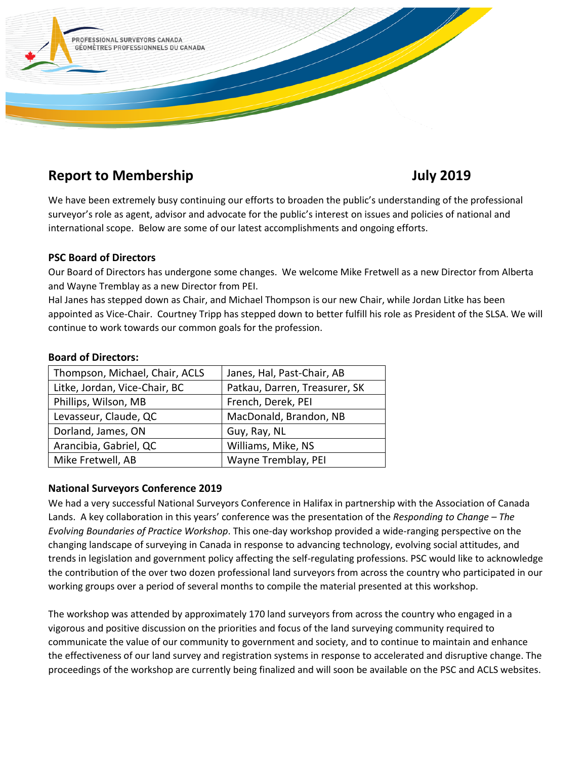

# **Report to Membership 3019 81 and 3019 10 and 3019 10 and 3019**

We have been extremely busy continuing our efforts to broaden the public's understanding of the professional surveyor's role as agent, advisor and advocate for the public's interest on issues and policies of national and international scope. Below are some of our latest accomplishments and ongoing efforts.

### **PSC Board of Directors**

Our Board of Directors has undergone some changes. We welcome Mike Fretwell as a new Director from Alberta and Wayne Tremblay as a new Director from PEI.

Hal Janes has stepped down as Chair, and Michael Thompson is our new Chair, while Jordan Litke has been appointed as Vice-Chair. Courtney Tripp has stepped down to better fulfill his role as President of the SLSA. We will continue to work towards our common goals for the profession.

| Thompson, Michael, Chair, ACLS | Janes, Hal, Past-Chair, AB    |
|--------------------------------|-------------------------------|
| Litke, Jordan, Vice-Chair, BC  | Patkau, Darren, Treasurer, SK |
| Phillips, Wilson, MB           | French, Derek, PEI            |
| Levasseur, Claude, QC          | MacDonald, Brandon, NB        |
| Dorland, James, ON             | Guy, Ray, NL                  |
| Arancibia, Gabriel, QC         | Williams, Mike, NS            |
| Mike Fretwell, AB              | Wayne Tremblay, PEI           |

#### **Board of Directors:**

## **National Surveyors Conference 2019**

We had a very successful National Surveyors Conference in Halifax in partnership with the Association of Canada Lands. A key collaboration in this years' conference was the presentation of the *Responding to Change – The Evolving Boundaries of Practice Workshop*. This one-day workshop provided a wide-ranging perspective on the changing landscape of surveying in Canada in response to advancing technology, evolving social attitudes, and trends in legislation and government policy affecting the self-regulating professions. PSC would like to acknowledge the contribution of the over two dozen professional land surveyors from across the country who participated in our working groups over a period of several months to compile the material presented at this workshop.

The workshop was attended by approximately 170 land surveyors from across the country who engaged in a vigorous and positive discussion on the priorities and focus of the land surveying community required to communicate the value of our community to government and society, and to continue to maintain and enhance the effectiveness of our land survey and registration systems in response to accelerated and disruptive change. The proceedings of the workshop are currently being finalized and will soon be available on the PSC and ACLS websites.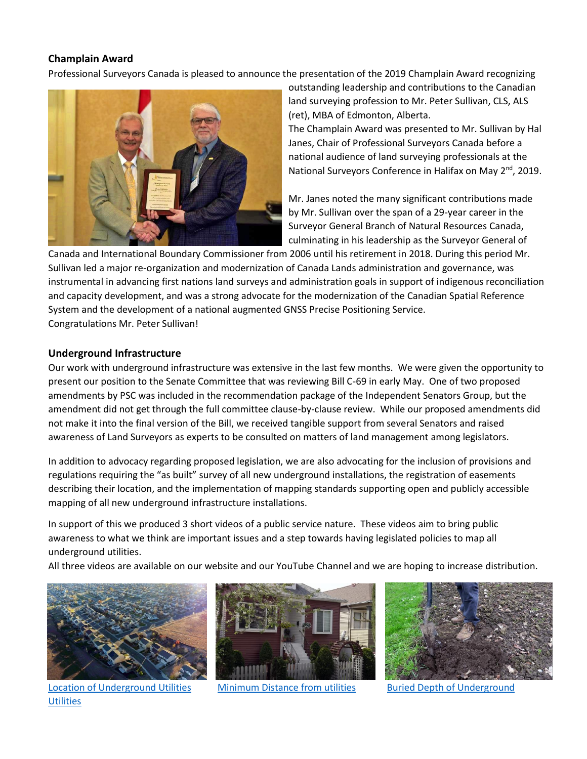#### **Champlain Award**

Professional Surveyors Canada is pleased to announce the presentation of the 2019 Champlain Award recognizing



outstanding leadership and contributions to the Canadian land surveying profession to Mr. Peter Sullivan, CLS, ALS (ret), MBA of Edmonton, Alberta.

The Champlain Award was presented to Mr. Sullivan by Hal Janes, Chair of Professional Surveyors Canada before a national audience of land surveying professionals at the National Surveyors Conference in Halifax on May 2<sup>nd</sup>, 2019.

Mr. Janes noted the many significant contributions made by Mr. Sullivan over the span of a 29-year career in the Surveyor General Branch of Natural Resources Canada, culminating in his leadership as the Surveyor General of

Canada and International Boundary Commissioner from 2006 until his retirement in 2018. During this period Mr. Sullivan led a major re-organization and modernization of Canada Lands administration and governance, was instrumental in advancing first nations land surveys and administration goals in support of indigenous reconciliation and capacity development, and was a strong advocate for the modernization of the Canadian Spatial Reference System and the development of a national augmented GNSS Precise Positioning Service. Congratulations Mr. Peter Sullivan!

#### **Underground Infrastructure**

Our work with underground infrastructure was extensive in the last few months. We were given the opportunity to present our position to the Senate Committee that was reviewing Bill C-69 in early May. One of two proposed amendments by PSC was included in the recommendation package of the Independent Senators Group, but the amendment did not get through the full committee clause-by-clause review. While our proposed amendments did not make it into the final version of the Bill, we received tangible support from several Senators and raised awareness of Land Surveyors as experts to be consulted on matters of land management among legislators.

In addition to advocacy regarding proposed legislation, we are also advocating for the inclusion of provisions and regulations requiring the "as built" survey of all new underground installations, the registration of easements describing their location, and the implementation of mapping standards supporting open and publicly accessible mapping of all new underground infrastructure installations.

In support of this we produced 3 short videos of a public service nature. These videos aim to bring public awareness to what we think are important issues and a step towards having legislated policies to map all underground utilities.

All three videos are available on our website and our YouTube Channel and we are hoping to increase distribution.



[Location of Underground Utilities](https://www.youtube.com/watch?v=A6tOIzlE8N4) [Minimum Distance from utilities](https://www.youtube.com/watch?v=kAnMhURM_aA) Buried Depth of Underground **[Utilities](https://www.youtube.com/watch?v=Vc6XgNa0SXc)**